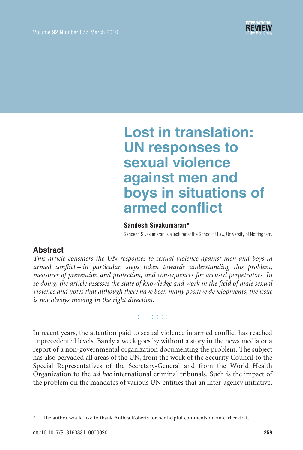# Lost in translation: UN responses to sexual violence against men and boys in situations of armed conflict

#### Sandesh Sivakumaran\*

Sandesh Sivakumaran is a lecturer at the School of Law, University of Nottingham.

## Abstract

This article considers the UN responses to sexual violence against men and boys in armed conflict – in particular, steps taken towards understanding this problem, measures of prevention and protection, and consequences for accused perpetrators. In so doing, the article assesses the state of knowledge and work in the field of male sexual violence and notes that although there have been many positive developments, the issue is not always moving in the right direction.

**BERTHER** 

In recent years, the attention paid to sexual violence in armed conflict has reached unprecedented levels. Barely a week goes by without a story in the news media or a report of a non-governmental organization documenting the problem. The subject has also pervaded all areas of the UN, from the work of the Security Council to the Special Representatives of the Secretary-General and from the World Health Organization to the ad hoc international criminal tribunals. Such is the impact of the problem on the mandates of various UN entities that an inter-agency initiative,

The author would like to thank Anthea Roberts for her helpful comments on an earlier draft.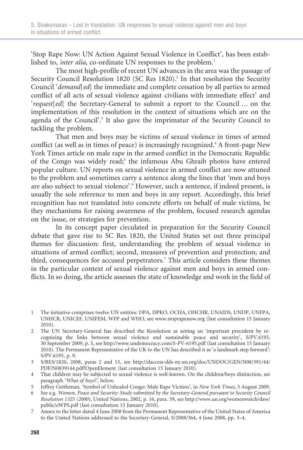'Stop Rape Now: UN Action Against Sexual Violence in Conflict', has been established to, *inter alia*, co-ordinate UN responses to the problem.<sup>1</sup>

The most high-profile of recent UN advances in the area was the passage of Security Council Resolution 1820 (SC Res 1820).<sup>2</sup> In that resolution the Security Council 'demand[ed] the immediate and complete cessation by all parties to armed conflict of all acts of sexual violence against civilians with immediate effect' and 'request[ed] the Secretary-General to submit a report to the Council … on the implementation of this resolution in the context of situations which are on the agenda of the Council'.<sup>3</sup> It also gave the imprimatur of the Security Council to tackling the problem.

That men and boys may be victims of sexual violence in times of armed conflict (as well as in times of peace) is increasingly recognized.<sup>4</sup> A front-page New York Times article on male rape in the armed conflict in the Democratic Republic of the Congo was widely read;<sup>5</sup> the infamous Abu Ghraib photos have entered popular culture. UN reports on sexual violence in armed conflict are now attuned to the problem and sometimes carry a sentence along the lines that 'men and boys are also subject to sexual violence'.<sup>6</sup> However, such a sentence, if indeed present, is usually the sole reference to men and boys in any report. Accordingly, this brief recognition has not translated into concrete efforts on behalf of male victims, be they mechanisms for raising awareness of the problem, focused research agendas on the issue, or strategies for prevention.

In its concept paper circulated in preparation for the Security Council debate that gave rise to SC Res 1820, the United States set out three principal themes for discussion: first, understanding the problem of sexual violence in situations of armed conflict; second, measures of prevention and protection; and third, consequences for accused perpetrators.<sup>7</sup> This article considers these themes in the particular context of sexual violence against men and boys in armed conflicts. In so doing, the article assesses the state of knowledge and work in the field of

<sup>1</sup> The initiative comprises twelve UN entities: DPA, DPKO, OCHA, OHCHR, UNAIDS, UNDP, UNFPA, UNHCR, UNICEF, UNIFEM, WFP and WHO, see www.stoprapenow.org (last consultation 15 January 2010).

<sup>2</sup> The UN Secretary-General has described the Resolution as setting an 'important precedent by recognizing the links between sexual violence and sustainable peace and security', S/PV.6195, 30 September 2009, p. 5, see http://www.undemocracy.com/S-PV-6195.pdf (last consultation 15 January 2010). The Permanent Representative of the UK to the UN has described it as 'a landmark step forward': S/PV.6195, p. 9.

<sup>3</sup> S/RES/1820, 2008, paras 2 and 15, see http://daccess-dds-ny.un.org/doc/UNDOC/GEN/N08/391/44/ PDF/N0839144.pdf?OpenElement (last consultation 15 January 2010).

<sup>4</sup> That children may be subjected to sexual violence is well-known. On the children/boys distinction, see paragraph 'What of boys?', below.

<sup>5</sup> Jeffrey Gettleman, 'Symbol of Unhealed Congo: Male Rape Victims', in New York Times, 5 August 2009.

<sup>6</sup> See e.g. Women, Peace and Security: Study submitted by the Secretary-General pursuant to Security Council Resolution 1325 (2000), United Nations, 2002, p. 16, para. 59, see http://www.un.org/womenwatch/daw/ public/eWPS.pdf (last consultation 15 January 2010).

<sup>7</sup> Annex to the letter dated 4 June 2008 from the Permanent Representative of the United States of America to the United Nations addressed to the Secretary-General, S/2008/364, 4 June 2008, pp. 3–4.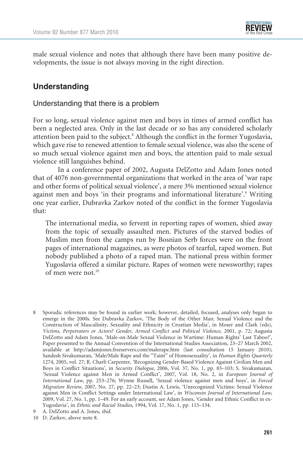

male sexual violence and notes that although there have been many positive developments, the issue is not always moving in the right direction.

# Understanding

#### Understanding that there is a problem

For so long, sexual violence against men and boys in times of armed conflict has been a neglected area. Only in the last decade or so has any considered scholarly attention been paid to the subject.<sup>8</sup> Although the conflict in the former Yugoslavia, which gave rise to renewed attention to female sexual violence, was also the scene of so much sexual violence against men and boys, the attention paid to male sexual violence still languishes behind.

In a conference paper of 2002, Augusta DelZotto and Adam Jones noted that of 4076 non-governmental organizations that worked in the area of 'war rape and other forms of political sexual violence', a mere 3% mentioned sexual violence against men and boys 'in their programs and informational literature'.<sup>9</sup> Writing one year earlier, Dubravka Zarkov noted of the conflict in the former Yugoslavia that:

The international media, so fervent in reporting rapes of women, shied away from the topic of sexually assaulted men. Pictures of the starved bodies of Muslim men from the camps run by Bosnian Serb forces were on the front pages of international magazines, as were photos of tearful, raped women. But nobody published a photo of a raped man. The national press within former Yugoslavia offered a similar picture. Rapes of women were newsworthy; rapes of men were not.<sup>10</sup>

- 8 Sporadic references may be found in earlier work; however, detailed, focused, analyses only began to emerge in the 2000s. See Dubravka Zarkov, 'The Body of the Other Man: Sexual Violence and the Construction of Masculinity, Sexuality and Ethnicity in Croatian Media', in Moser and Clark (eds), Victims, Perpetrators or Actors? Gender, Armed Conflict and Political Violence, 2001, p. 72; Augusta DelZotto and Adam Jones, 'Male-on-Male Sexual Violence in Wartime: Human Rights' Last Taboo?', Paper presented to the Annual Convention of the International Studies Association, 23–27 March 2002, available at http://adamjones.freeservers.com/malerape.htm (last consultation 15 January 2010); Sandesh Sivakumaran, 'Male/Male Rape and the "Taint" of Homosexuality', in Human Rights Quarterly 1274, 2005, vol. 27; R. Charli Carpenter, 'Recognizing Gender-Based Violence Against Civilian Men and Boys in Conflict Situations', in Security Dialogue, 2006, Vol. 37, No. 1, pp. 83–103; S. Sivakumaran, 'Sexual Violence against Men in Armed Conflict', 2007, Vol. 18, No. 2, in European Journal of International Law, pp. 253–276; Wynne Russell, 'Sexual violence against men and boys', in Forced Migration Review, 2007, No. 27, pp. 22–23; Dustin A. Lewis, 'Unrecognized Victims: Sexual Violence against Men in Conflict Settings under International Law', in Wisconsin Journal of International Law, 2009, Vol. 27, No. 1, pp. 1–49. For an early account, see Adam Jones, 'Gender and Ethnic Conflict in ex-Yugoslavia', in Ethnic and Racial Studies, 1994, Vol. 17, No. 1, pp. 115–134.
- 9 A. DelZotto and A. Jones, ibid.
- 10 D. Zarkov, above note 8.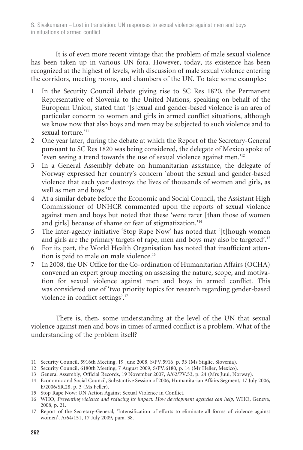It is of even more recent vintage that the problem of male sexual violence has been taken up in various UN fora. However, today, its existence has been recognized at the highest of levels, with discussion of male sexual violence entering the corridors, meeting rooms, and chambers of the UN. To take some examples:

- 1 In the Security Council debate giving rise to SC Res 1820, the Permanent Representative of Slovenia to the United Nations, speaking on behalf of the European Union, stated that '[s]exual and gender-based violence is an area of particular concern to women and girls in armed conflict situations, although we know now that also boys and men may be subjected to such violence and to sexual torture.'<sup>11</sup>
- 2 One year later, during the debate at which the Report of the Secretary-General pursuant to SC Res 1820 was being considered, the delegate of Mexico spoke of  $\epsilon$  even seeing a trend towards the use of sexual violence against men.<sup>'12</sup>
- 3 In a General Assembly debate on humanitarian assistance, the delegate of Norway expressed her country's concern 'about the sexual and gender-based violence that each year destroys the lives of thousands of women and girls, as well as men and boys.'<sup>13</sup>
- 4 At a similar debate before the Economic and Social Council, the Assistant High Commissioner of UNHCR commented upon the reports of sexual violence against men and boys but noted that these 'were rarer [than those of women and girls] because of shame or fear of stigmatization.'14
- 5 The inter-agency initiative 'Stop Rape Now' has noted that '[t]hough women and girls are the primary targets of rape, men and boys may also be targeted'.15
- 6 For its part, the World Health Organisation has noted that insufficient attention is paid to male on male violence.<sup>16</sup>
- 7 In 2008, the UN Office for the Co-ordination of Humanitarian Affairs (OCHA) convened an expert group meeting on assessing the nature, scope, and motivation for sexual violence against men and boys in armed conflict. This was considered one of 'two priority topics for research regarding gender-based violence in conflict settings'.17

There is, then, some understanding at the level of the UN that sexual violence against men and boys in times of armed conflict is a problem. What of the understanding of the problem itself?

<sup>11</sup> Security Council, 5916th Meeting, 19 June 2008, S/PV.5916, p. 33 (Ms Stiglic, Slovenia).

<sup>12</sup> Security Council, 6180th Meeting, 7 August 2009, S/PV.6180, p. 14 (Mr Heller, Mexico).

<sup>13</sup> General Assembly, Official Records, 19 November 2007, A/62/PV.53, p. 24 (Mrs Juul, Norway).

<sup>14</sup> Economic and Social Council, Substantive Session of 2006, Humanitarian Affairs Segment, 17 July 2006, E/2006/SR.28, p. 3 (Ms Feller).

<sup>15</sup> Stop Rape Now: UN Action Against Sexual Violence in Conflict.

<sup>16</sup> WHO, Preventing violence and reducing its impact: How development agencies can help, WHO, Geneva, 2008, p. 21.

<sup>17</sup> Report of the Secretary-General, 'Intensification of efforts to eliminate all forms of violence against women', A/64/151, 17 July 2009, para. 38.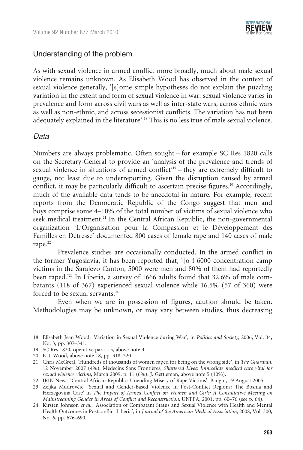

## Understanding of the problem

As with sexual violence in armed conflict more broadly, much about male sexual violence remains unknown. As Elisabeth Wood has observed in the context of sexual violence generally, '[s]ome simple hypotheses do not explain the puzzling variation in the extent and form of sexual violence in war: sexual violence varies in prevalence and form across civil wars as well as inter-state wars, across ethnic wars as well as non-ethnic, and across secessionist conflicts. The variation has not been adequately explained in the literature'.<sup>18</sup> This is no less true of male sexual violence.

#### **Data**

Numbers are always problematic. Often sought – for example SC Res 1820 calls on the Secretary-General to provide an 'analysis of the prevalence and trends of sexual violence in situations of armed conflict'19 – they are extremely difficult to gauge, not least due to underreporting. Given the disruption caused by armed conflict, it may be particularly difficult to ascertain precise figures.<sup>20</sup> Accordingly, much of the available data tends to be anecdotal in nature. For example, recent reports from the Democratic Republic of the Congo suggest that men and boys comprise some 4–10% of the total number of victims of sexual violence who seek medical treatment.<sup>21</sup> In the Central African Republic, the non-governmental organization 'L'Organisation pour la Compassion et le De´veloppement des Familles en Détresse' documented 800 cases of female rape and 140 cases of male rape.<sup>22</sup>

Prevalence studies are occasionally conducted. In the armed conflict in the former Yugoslavia, it has been reported that, '[o]f 6000 concentration camp victims in the Sarajevo Canton, 5000 were men and 80% of them had reportedly been raped.'23 In Liberia, a survey of 1666 adults found that 32.6% of male combatants (118 of 367) experienced sexual violence while 16.5% (57 of 360) were forced to be sexual servants.<sup>24</sup>

Even when we are in possession of figures, caution should be taken. Methodologies may be unknown, or may vary between studies, thus decreasing

- 19 SC Res 1820, operative para. 15, above note 3.
- 20 E. J. Wood, above note 18, pp. 318–320.

- 22 IRIN News, 'Central African Republic: Unending Misery of Rape Victims', Bangui, 19 August 2005.
- 23 Željka Mudrovčić, 'Sexual and Gender-Based Violence in Post-Conflict Regions: The Bosnia and Herzegovina Case' in The Impact of Armed Conflict on Women and Girls: A Consultative Meeting on Mainstreaming Gender in Areas of Conflict and Reconstruction, UNFPA, 2001, pp. 60–76 (see p. 64).
- 24 Kirsten Johnson et al., 'Association of Combatant Status and Sexual Violence with Health and Mental Health Outcomes in Postconflict Liberia', in Journal of the American Medical Association, 2008, Vol. 300, No. 6, pp. 676–690.

<sup>18</sup> Elisabeth Jean Wood, 'Variation in Sexual Violence during War', in Politics and Society, 2006, Vol. 34, No. 3, pp. 307–341.

<sup>21</sup> Chris McGreal, 'Hundreds of thousands of women raped for being on the wrong side', in The Guardian, 12 November 2007 (4%); Médecins Sans Frontières, Shattered Lives: Immediate medical care vital for sexual violence victims, March 2009, p. 11 (6%); J. Gettleman, above note 5 (10%).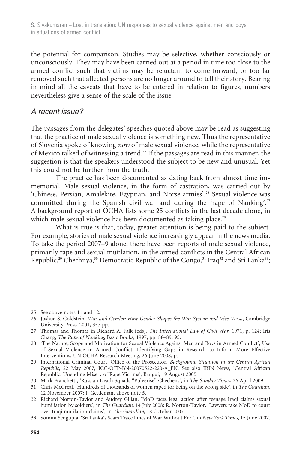the potential for comparison. Studies may be selective, whether consciously or unconsciously. They may have been carried out at a period in time too close to the armed conflict such that victims may be reluctant to come forward, or too far removed such that affected persons are no longer around to tell their story. Bearing in mind all the caveats that have to be entered in relation to figures, numbers nevertheless give a sense of the scale of the issue.

## A recent issue?

The passages from the delegates' speeches quoted above may be read as suggesting that the practice of male sexual violence is something new. Thus the representative of Slovenia spoke of knowing now of male sexual violence, while the representative of Mexico talked of witnessing a trend.25 If the passages are read in this manner, the suggestion is that the speakers understood the subject to be new and unusual. Yet this could not be further from the truth.

The practice has been documented as dating back from almost time immemorial. Male sexual violence, in the form of castration, was carried out by 'Chinese, Persian, Amalekite, Egyptian, and Norse armies'.<sup>26</sup> Sexual violence was committed during the Spanish civil war and during the 'rape of Nanking'.<sup>27</sup> A background report of OCHA lists some 25 conflicts in the last decade alone, in which male sexual violence has been documented as taking place.<sup>28</sup>

What is true is that, today, greater attention is being paid to the subject. For example, stories of male sexual violence increasingly appear in the news media. To take the period 2007–9 alone, there have been reports of male sexual violence, primarily rape and sexual mutilation, in the armed conflicts in the Central African Republic,<sup>29</sup> Chechnya,<sup>30</sup> Democratic Republic of the Congo,<sup>31</sup> Iraq<sup>32</sup> and Sri Lanka<sup>33</sup>;

- 28 'The Nature, Scope and Motivation for Sexual Violence Against Men and Boys in Armed Conflict', Use of Sexual Violence in Armed Conflict: Identifying Gaps in Research to Inform More Effective Interventions, UN OCHA Research Meeting, 26 June 2008, p. 1.
- 29 International Criminal Court, Office of the Prosecutor, Background: Situation in the Central African Republic, 22 May 2007, ICC-OTP-BN-20070522-220-A\_EN. See also IRIN News, 'Central African Republic: Unending Misery of Rape Victims', Bangui, 19 August 2005.
- 30 Mark Franchetti, 'Russian Death Squads "Pulverise" Chechens', in The Sunday Times, 26 April 2009.
- 31 Chris McGreal, 'Hundreds of thousands of women raped for being on the wrong side', in The Guardian, 12 November 2007; J. Gettleman, above note 5.
- 32 Richard Norton-Taylor and Audrey Gillan, 'MoD faces legal action after teenage Iraqi claims sexual humiliation by soldiers', in The Guardian, 14 July 2008; R. Norton-Taylor, 'Lawyers take MoD to court over Iraqi mutilation claims', in The Guardian, 18 October 2007.
- 33 Somini Sengupta, 'Sri Lanka's Scars Trace Lines of War Without End', in New York Times, 15 June 2007.

<sup>25</sup> See above notes 11 and 12.

<sup>26</sup> Joshua S. Goldstein, War and Gender: How Gender Shapes the War System and Vice Versa, Cambridge University Press, 2001, 357 pp.

<sup>27</sup> Thomas and Thomas in Richard A. Falk (eds), The International Law of Civil War, 1971, p. 124; Iris Chang, The Rape of Nanking, Basic Books, 1997, pp. 88–89, 95.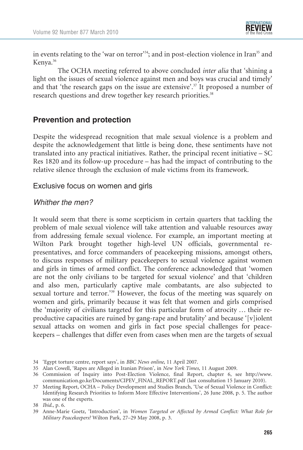in events relating to the 'war on terror'<sup>34</sup>; and in post-election violence in Iran<sup>35</sup> and Kenya.<sup>36</sup>

The OCHA meeting referred to above concluded inter alia that 'shining a light on the issues of sexual violence against men and boys was crucial and timely' and that 'the research gaps on the issue are extensive'.<sup>37</sup> It proposed a number of research questions and drew together key research priorities.<sup>38</sup>

# Prevention and protection

Despite the widespread recognition that male sexual violence is a problem and despite the acknowledgement that little is being done, these sentiments have not translated into any practical initiatives. Rather, the principal recent initiative – SC Res 1820 and its follow-up procedure – has had the impact of contributing to the relative silence through the exclusion of male victims from its framework.

## Exclusive focus on women and girls

## Whither the men?

It would seem that there is some scepticism in certain quarters that tackling the problem of male sexual violence will take attention and valuable resources away from addressing female sexual violence. For example, an important meeting at Wilton Park brought together high-level UN officials, governmental representatives, and force commanders of peacekeeping missions, amongst others, to discuss responses of military peacekeepers to sexual violence against women and girls in times of armed conflict. The conference acknowledged that 'women are not the only civilians to be targeted for sexual violence' and that 'children and also men, particularly captive male combatants, are also subjected to sexual torture and terror.<sup>339</sup> However, the focus of the meeting was squarely on women and girls, primarily because it was felt that women and girls comprised the 'majority of civilians targeted for this particular form of atrocity … their reproductive capacities are ruined by gang-rape and brutality' and because '[v]iolent sexual attacks on women and girls in fact pose special challenges for peacekeepers – challenges that differ even from cases when men are the targets of sexual

<sup>34 &#</sup>x27;Egypt torture centre, report says', in BBC News online, 11 April 2007.

<sup>35</sup> Alan Cowell, 'Rapes are Alleged in Iranian Prison', in New York Times, 11 August 2009.

<sup>36</sup> Commission of Inquiry into Post-Election Violence, final Report, chapter 6, see http://www. communication.go.ke/Documents/CIPEV\_FINAL\_REPORT.pdf (last consultation 15 January 2010).

<sup>37</sup> Meeting Report, OCHA – Policy Development and Studies Branch, 'Use of Sexual Violence in Conflict: Identifying Research Priorities to Inform More Effective Interventions', 26 June 2008, p. 5. The author was one of the experts.

<sup>38</sup> Ibid., p. 6.

<sup>39</sup> Anne-Marie Goetz, 'Introduction', in Women Targeted or Affected by Armed Conflict: What Role for Military Peacekeepers? Wilton Park, 27–29 May 2008, p. 3.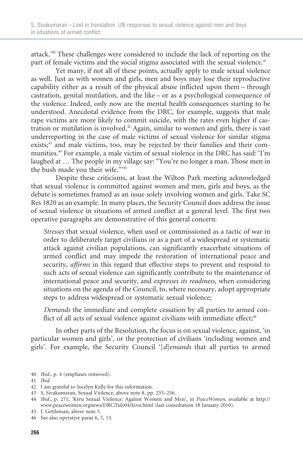attack.'40 These challenges were considered to include the lack of reporting on the part of female victims and the social stigma associated with the sexual violence.<sup>41</sup>

Yet many, if not all of these points, actually apply to male sexual violence as well. Just as with women and girls, men and boys may lose their reproductive capability either as a result of the physical abuse inflicted upon them – through castration, genital mutilation, and the like – or as a psychological consequence of the violence. Indeed, only now are the mental health consequences starting to be understood. Anecdotal evidence from the DRC, for example, suggests that male rape victims are more likely to commit suicide, with the rates even higher if castration or mutilation is involved.42 Again, similar to women and girls, there is vast underreporting in the case of male victims of sexual violence for similar stigma exists;<sup>43</sup> and male victims, too, may be rejected by their families and their communities.44 For example, a male victim of sexual violence in the DRC has said: 'I'm laughed at … The people in my village say: "You're no longer a man. Those men in the bush made you their wife."'45

Despite these criticisms, at least the Wilton Park meeting acknowledged that sexual violence is committed against women and men, girls and boys, as the debate is sometimes framed as an issue solely involving women and girls. Take SC Res 1820 as an example. In many places, the Security Council does address the issue of sexual violence in situations of armed conflict at a general level. The first two operative paragraphs are demonstrative of this general concern:

Stresses that sexual violence, when used or commissioned as a tactic of war in order to deliberately target civilians or as a part of a widespread or systematic attack against civilian populations, can significantly exacerbate situations of armed conflict and may impede the restoration of international peace and security, affirms in this regard that effective steps to prevent and respond to such acts of sexual violence can significantly contribute to the maintenance of international peace and security, and expresses its readiness, when considering situations on the agenda of the Council, to, where necessary, adopt appropriate steps to address widespread or systematic sexual violence;

Demands the immediate and complete cessation by all parties to armed conflict of all acts of sexual violence against civilians with immediate effect;<sup>46</sup>

In other parts of the Resolution, the focus is on sexual violence, against, 'in particular women and girls', or the protection of civilians 'including women and girls'. For example, the Security Council '[d]emands that all parties to armed

<sup>40</sup> Ibid., p. 4 (emphases removed).

<sup>41</sup> Ibid.

<sup>42</sup> I am grateful to Jocelyn Kelly for this information.

<sup>43</sup> S. Sivakumaran, Sexual Violence, above note 8, pp. 255–256.

<sup>44</sup> Ibid., p. 271; 'Kivu Sexual Violence: Against Women and Men', in PeaceWomen, available at http:// www.peacewomen.orgnews/DRC/July04/kivu.html (last consultation 18 January 2010).

<sup>45</sup> J. Gettleman, above note 5.

<sup>46</sup> See also operative paras 6, 7, 13.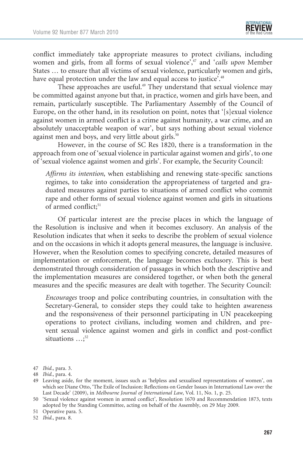conflict immediately take appropriate measures to protect civilians, including women and girls, from all forms of sexual violence',<sup>47</sup> and 'calls upon Member States … to ensure that all victims of sexual violence, particularly women and girls, have equal protection under the law and equal access to justice'.<sup>48</sup>

These approaches are useful.<sup>49</sup> They understand that sexual violence may be committed against anyone but that, in practice, women and girls have been, and remain, particularly susceptible. The Parliamentary Assembly of the Council of Europe, on the other hand, in its resolution on point, notes that '[s]exual violence against women in armed conflict is a crime against humanity, a war crime, and an absolutely unacceptable weapon of war', but says nothing about sexual violence against men and boys, and very little about girls.<sup>50</sup>

However, in the course of SC Res 1820, there is a transformation in the approach from one of 'sexual violence in particular against women and girls', to one of 'sexual violence against women and girls'. For example, the Security Council:

Affirms its intention, when establishing and renewing state-specific sanctions regimes, to take into consideration the appropriateness of targeted and graduated measures against parties to situations of armed conflict who commit rape and other forms of sexual violence against women and girls in situations of armed conflict:<sup>51</sup>

Of particular interest are the precise places in which the language of the Resolution is inclusive and when it becomes exclusory. An analysis of the Resolution indicates that when it seeks to describe the problem of sexual violence and on the occasions in which it adopts general measures, the language is inclusive. However, when the Resolution comes to specifying concrete, detailed measures of implementation or enforcement, the language becomes exclusory. This is best demonstrated through consideration of passages in which both the descriptive and the implementation measures are considered together, or when both the general measures and the specific measures are dealt with together. The Security Council:

Encourages troop and police contributing countries, in consultation with the Secretary-General, to consider steps they could take to heighten awareness and the responsiveness of their personnel participating in UN peacekeeping operations to protect civilians, including women and children, and prevent sexual violence against women and girls in conflict and post-conflict situations  $\ldots$ ;<sup>52</sup>

<sup>47</sup> Ibid., para. 3.

<sup>48</sup> Ibid., para. 4.

<sup>49</sup> Leaving aside, for the moment, issues such as 'helpless and sexualised representations of women', on which see Diane Otto, 'The Exile of Inclusion: Reflections on Gender Issues in International Law over the Last Decade' (2009), in Melbourne Journal of International Law, Vol. 11, No. 1, p. 25.

<sup>50 &#</sup>x27;Sexual violence against women in armed conflict', Resolution 1670 and Recommendation 1873, texts adopted by the Standing Committee, acting on behalf of the Assembly, on 29 May 2009.

<sup>51</sup> Operative para. 5.

<sup>52</sup> Ibid., para. 8.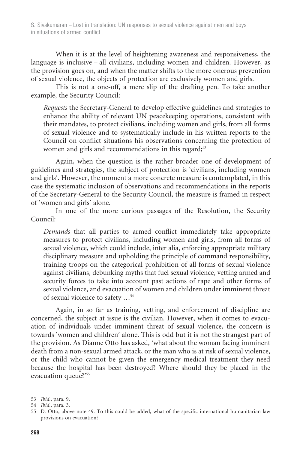When it is at the level of heightening awareness and responsiveness, the language is inclusive – all civilians, including women and children. However, as the provision goes on, and when the matter shifts to the more onerous prevention of sexual violence, the objects of protection are exclusively women and girls.

This is not a one-off, a mere slip of the drafting pen. To take another example, the Security Council:

Requests the Secretary-General to develop effective guidelines and strategies to enhance the ability of relevant UN peacekeeping operations, consistent with their mandates, to protect civilians, including women and girls, from all forms of sexual violence and to systematically include in his written reports to the Council on conflict situations his observations concerning the protection of women and girls and recommendations in this regard;<sup>53</sup>

Again, when the question is the rather broader one of development of guidelines and strategies, the subject of protection is 'civilians, including women and girls'. However, the moment a more concrete measure is contemplated, in this case the systematic inclusion of observations and recommendations in the reports of the Secretary-General to the Security Council, the measure is framed in respect of 'women and girls' alone.

In one of the more curious passages of the Resolution, the Security Council:

Demands that all parties to armed conflict immediately take appropriate measures to protect civilians, including women and girls, from all forms of sexual violence, which could include, inter alia, enforcing appropriate military disciplinary measure and upholding the principle of command responsibility, training troops on the categorical prohibition of all forms of sexual violence against civilians, debunking myths that fuel sexual violence, vetting armed and security forces to take into account past actions of rape and other forms of sexual violence, and evacuation of women and children under imminent threat of sexual violence to safety …54

Again, in so far as training, vetting, and enforcement of discipline are concerned, the subject at issue is the civilian. However, when it comes to evacuation of individuals under imminent threat of sexual violence, the concern is towards 'women and children' alone. This is odd but it is not the strangest part of the provision. As Dianne Otto has asked, 'what about the woman facing imminent death from a non-sexual armed attack, or the man who is at risk of sexual violence, or the child who cannot be given the emergency medical treatment they need because the hospital has been destroyed? Where should they be placed in the evacuation queue?'55

<sup>53</sup> Ibid., para. 9.

<sup>54</sup> Ibid., para. 3.

<sup>55</sup> D. Otto, above note 49. To this could be added, what of the specific international humanitarian law provisions on evacuation?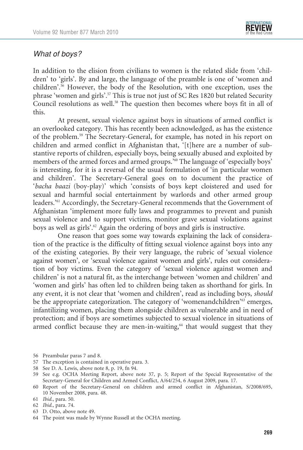

## What of boys?

In addition to the elision from civilians to women is the related slide from 'children' to 'girls'. By and large, the language of the preamble is one of 'women and children'.56 However, the body of the Resolution, with one exception, uses the phrase 'women and girls'.57 This is true not just of SC Res 1820 but related Security Council resolutions as well.58 The question then becomes where boys fit in all of this.

At present, sexual violence against boys in situations of armed conflict is an overlooked category. This has recently been acknowledged, as has the existence of the problem.59 The Secretary-General, for example, has noted in his report on children and armed conflict in Afghanistan that, '[t]here are a number of substantive reports of children, especially boys, being sexually abused and exploited by members of the armed forces and armed groups.'60 The language of 'especially boys' is interesting, for it is a reversal of the usual formulation of 'in particular women and children'. The Secretary-General goes on to document the practice of 'bacha baazi (boy-play)' which 'consists of boys kept cloistered and used for sexual and harmful social entertainment by warlords and other armed group leaders.'61 Accordingly, the Secretary-General recommends that the Government of Afghanistan 'implement more fully laws and programmes to prevent and punish sexual violence and to support victims, monitor grave sexual violations against boys as well as girls'.<sup>62</sup> Again the ordering of boys and girls is instructive.

One reason that goes some way towards explaining the lack of consideration of the practice is the difficulty of fitting sexual violence against boys into any of the existing categories. By their very language, the rubric of 'sexual violence against women', or 'sexual violence against women and girls', rules out consideration of boy victims. Even the category of 'sexual violence against women and children' is not a natural fit, as the interchange between 'women and children' and 'women and girls' has often led to children being taken as shorthand for girls. In any event, it is not clear that 'women and children', read as including boys, should be the appropriate categorization. The category of 'womenandchildren'<sup>63</sup> emerges, infantilizing women, placing them alongside children as vulnerable and in need of protection; and if boys are sometimes subjected to sexual violence in situations of armed conflict because they are men-in-waiting, $64$  that would suggest that they

- 56 Preambular paras 7 and 8.
- 57 The exception is contained in operative para. 3.
- 58 See D. A. Lewis, above note 8, p. 19, fn 94.
- 59 See e.g. OCHA Meeting Report, above note 37, p. 5; Report of the Special Representative of the Secretary-General for Children and Armed Conflict, A/64/254, 6 August 2009, para. 17.
- 60 Report of the Secretary-General on children and armed conflict in Afghanistan, S/2008/695, 10 November 2008, para. 48.
- 61 Ibid., para. 50.
- 62 Ibid., para. 74.
- 63 D. Otto, above note 49.
- 64 The point was made by Wynne Russell at the OCHA meeting.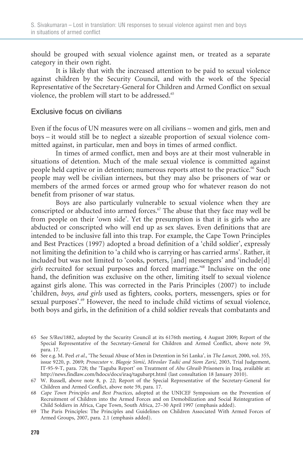should be grouped with sexual violence against men, or treated as a separate category in their own right.

It is likely that with the increased attention to be paid to sexual violence against children by the Security Council, and with the work of the Special Representative of the Secretary-General for Children and Armed Conflict on sexual violence, the problem will start to be addressed.<sup>65</sup>

#### Exclusive focus on civilians

Even if the focus of UN measures were on all civilians – women and girls, men and boys – it would still be to neglect a sizeable proportion of sexual violence committed against, in particular, men and boys in times of armed conflict.

In times of armed conflict, men and boys are at their most vulnerable in situations of detention. Much of the male sexual violence is committed against people held captive or in detention; numerous reports attest to the practice.<sup>66</sup> Such people may well be civilian internees, but they may also be prisoners of war or members of the armed forces or armed group who for whatever reason do not benefit from prisoner of war status.

Boys are also particularly vulnerable to sexual violence when they are conscripted or abducted into armed forces.<sup>67</sup> The abuse that they face may well be from people on their 'own side'. Yet the presumption is that it is girls who are abducted or conscripted who will end up as sex slaves. Even definitions that are intended to be inclusive fall into this trap. For example, the Cape Town Principles and Best Practices (1997) adopted a broad definition of a 'child soldier', expressly not limiting the definition to 'a child who is carrying or has carried arms'. Rather, it included but was not limited to 'cooks, porters, [and] messengers' and 'include[d] girls recruited for sexual purposes and forced marriage.'68 Inclusive on the one hand, the definition was exclusive on the other, limiting itself to sexual violence against girls alone. This was corrected in the Paris Principles (2007) to include 'children, boys, and girls used as fighters, cooks, porters, messengers, spies or for sexual purposes'.<sup>69</sup> However, the need to include child victims of sexual violence, both boys and girls, in the definition of a child soldier reveals that combatants and

<sup>65</sup> See S/Res/1882, adopted by the Security Council at its 6176th meeting, 4 August 2009; Report of the Special Representative of the Secretary-General for Children and Armed Conflict, above note 59, para. 17.

<sup>66</sup> See e.g. M. Peel et al., 'The Sexual Abuse of Men in Detention in Sri Lanka', in The Lancet, 2000, vol. 355, issue 9220, p. 2069; Prosecutor v. Blagoje Simić, Miroslav Tadić and Siom Zarić, 2003, Trial Judgement, IT-95-9-T, para. 728; the 'Taguba Report' on Treatment of Abu Ghraib Prisoners in Iraq, available at: http://news.findlaw.com/hdocs/docs/iraq/tagubarpt.html (last consultation 18 January 2010).

<sup>67</sup> W. Russell, above note 8, p. 22; Report of the Special Representative of the Secretary-General for Children and Armed Conflict, above note 59, para. 17.

<sup>68</sup> Cape Town Principles and Best Practices, adopted at the UNICEF Symposium on the Prevention of Recruitment of Children into the Armed Forces and on Demobilization and Social Reintegration of Child Soldiers in Africa, Cape Town, South Africa, 27–30 April 1997 (emphasis added).

<sup>69</sup> The Paris Principles: The Principles and Guidelines on Children Associated With Armed Forces of Armed Groups, 2007, para. 2.1 (emphasis added).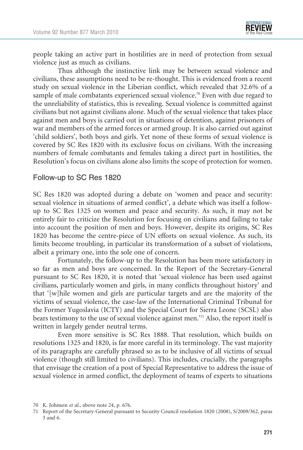people taking an active part in hostilities are in need of protection from sexual violence just as much as civilians.

Thus although the instinctive link may be between sexual violence and civilians, these assumptions need to be re-thought. This is evidenced from a recent study on sexual violence in the Liberian conflict, which revealed that 32.6% of a sample of male combatants experienced sexual violence.<sup>70</sup> Even with due regard to the unreliability of statistics, this is revealing. Sexual violence is committed against civilians but not against civilians alone. Much of the sexual violence that takes place against men and boys is carried out in situations of detention, against prisoners of war and members of the armed forces or armed group. It is also carried out against 'child soldiers', both boys and girls. Yet none of these forms of sexual violence is covered by SC Res 1820 with its exclusive focus on civilians. With the increasing numbers of female combatants and females taking a direct part in hostilities, the Resolution's focus on civilians alone also limits the scope of protection for women.

#### Follow-up to SC Res 1820

SC Res 1820 was adopted during a debate on 'women and peace and security: sexual violence in situations of armed conflict', a debate which was itself a followup to SC Res 1325 on women and peace and security. As such, it may not be entirely fair to criticize the Resolution for focusing on civilians and failing to take into account the position of men and boys. However, despite its origins, SC Res 1820 has become the centre-piece of UN efforts on sexual violence. As such, its limits become troubling, in particular its transformation of a subset of violations, albeit a primary one, into the sole one of concern.

Fortunately, the follow-up to the Resolution has been more satisfactory in so far as men and boys are concerned. In the Report of the Secretary-General pursuant to SC Res 1820, it is noted that 'sexual violence has been used against civilians, particularly women and girls, in many conflicts throughout history' and that '[w]hile women and girls are particular targets and are the majority of the victims of sexual violence, the case-law of the International Criminal Tribunal for the Former Yugoslavia (ICTY) and the Special Court for Sierra Leone (SCSL) also bears testimony to the use of sexual violence against men.'71 Also, the report itself is written in largely gender neutral terms.

Even more sensitive is SC Res 1888. That resolution, which builds on resolutions 1325 and 1820, is far more careful in its terminology. The vast majority of its paragraphs are carefully phrased so as to be inclusive of all victims of sexual violence (though still limited to civilians). This includes, crucially, the paragraphs that envisage the creation of a post of Special Representative to address the issue of sexual violence in armed conflict, the deployment of teams of experts to situations

<sup>70</sup> K. Johnson et al., above note 24, p. 676.

<sup>71</sup> Report of the Secretary-General pursuant to Security Council resolution 1820 (2008), S/2009/362, paras 3 and 6.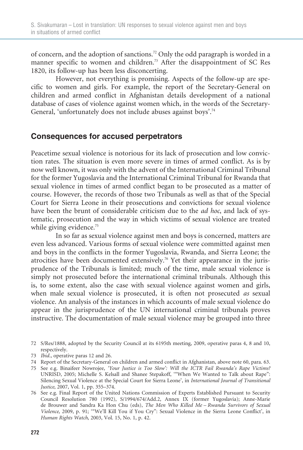of concern, and the adoption of sanctions.72 Only the odd paragraph is worded in a manner specific to women and children.<sup>73</sup> After the disappointment of SC Res 1820, its follow-up has been less disconcerting.

However, not everything is promising. Aspects of the follow-up are specific to women and girls. For example, the report of the Secretary-General on children and armed conflict in Afghanistan details development of a national database of cases of violence against women which, in the words of the Secretary-General, 'unfortunately does not include abuses against boys'.74

## Consequences for accused perpetrators

Peacetime sexual violence is notorious for its lack of prosecution and low conviction rates. The situation is even more severe in times of armed conflict. As is by now well known, it was only with the advent of the International Criminal Tribunal for the former Yugoslavia and the International Criminal Tribunal for Rwanda that sexual violence in times of armed conflict began to be prosecuted as a matter of course. However, the records of those two Tribunals as well as that of the Special Court for Sierra Leone in their prosecutions and convictions for sexual violence have been the brunt of considerable criticism due to the ad hoc, and lack of systematic, prosecution and the way in which victims of sexual violence are treated while giving evidence.<sup>75</sup>

In so far as sexual violence against men and boys is concerned, matters are even less advanced. Various forms of sexual violence were committed against men and boys in the conflicts in the former Yugoslavia, Rwanda, and Sierra Leone; the atrocities have been documented extensively.<sup>76</sup> Yet their appearance in the jurisprudence of the Tribunals is limited; much of the time, male sexual violence is simply not prosecuted before the international criminal tribunals. Although this is, to some extent, also the case with sexual violence against women and girls, when male sexual violence is prosecuted, it is often not prosecuted as sexual violence. An analysis of the instances in which accounts of male sexual violence do appear in the jurisprudence of the UN international criminal tribunals proves instructive. The documentation of male sexual violence may be grouped into three

- 74 Report of the Secretary-General on children and armed conflict in Afghanistan, above note 60, para. 63.
- 75 See e.g. Binaifeer Nowrojee, 'Your Justice is Too Slow': Will the ICTR Fail Rwanda's Rape Victims? UNRISD, 2005; Michelle S. Kelsall and Shanee Stepakoff, '"When We Wanted to Talk about Rape": Silencing Sexual Violence at the Special Court for Sierra Leone', in International Journal of Transitional Justice, 2007, Vol. 1, pp. 355–374.
- 76 See e.g. Final Report of the United Nations Commission of Experts Established Pursuant to Security Council Resolution 780 (1992), S/1994/674/Add.2, Annex IX (former Yugoslavia); Anne-Marie de Brouwer and Sandra Ka Hon Chu (eds), The Men Who Killed Me – Rwanda Survivors of Sexual Violence, 2009, p. 91; '"We'll Kill You if You Cry": Sexual Violence in the Sierra Leone Conflict', in Human Rights Watch, 2003, Vol. 15, No. 1, p. 42.

<sup>72</sup> S/Res/1888, adopted by the Security Council at its 6195th meeting, 2009, operative paras 4, 8 and 10, respectively.

<sup>73</sup> Ibid., operative paras 12 and 26.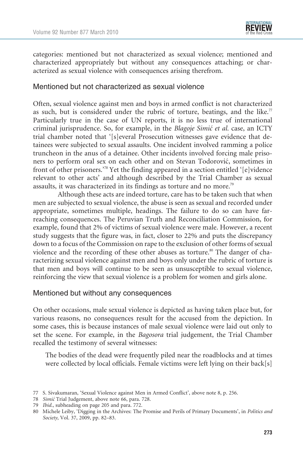

categories: mentioned but not characterized as sexual violence; mentioned and characterized appropriately but without any consequences attaching; or characterized as sexual violence with consequences arising therefrom.

### Mentioned but not characterized as sexual violence

Often, sexual violence against men and boys in armed conflict is not characterized as such, but is considered under the rubric of torture, beatings, and the like.<sup>77</sup> Particularly true in the case of UN reports, it is no less true of international criminal jurisprudence. So, for example, in the Blagoje Simic et al. case, an ICTY trial chamber noted that '[s]everal Prosecution witnesses gave evidence that detainees were subjected to sexual assaults. One incident involved ramming a police truncheon in the anus of a detainee. Other incidents involved forcing male prisoners to perform oral sex on each other and on Stevan Todorović, sometimes in front of other prisoners.'78 Yet the finding appeared in a section entitled '[e]vidence relevant to other acts' and although described by the Trial Chamber as sexual assaults, it was characterized in its findings as torture and no more.79

Although these acts are indeed torture, care has to be taken such that when men are subjected to sexual violence, the abuse is seen as sexual and recorded under appropriate, sometimes multiple, headings. The failure to do so can have farreaching consequences. The Peruvian Truth and Reconciliation Commission, for example, found that 2% of victims of sexual violence were male. However, a recent study suggests that the figure was, in fact, closer to 22% and puts the discrepancy down to a focus of the Commission on rape to the exclusion of other forms of sexual violence and the recording of these other abuses as torture.<sup>80</sup> The danger of characterizing sexual violence against men and boys only under the rubric of torture is that men and boys will continue to be seen as unsusceptible to sexual violence, reinforcing the view that sexual violence is a problem for women and girls alone.

#### Mentioned but without any consequences

On other occasions, male sexual violence is depicted as having taken place but, for various reasons, no consequences result for the accused from the depiction. In some cases, this is because instances of male sexual violence were laid out only to set the scene. For example, in the Bagosora trial judgement, the Trial Chamber recalled the testimony of several witnesses:

The bodies of the dead were frequently piled near the roadblocks and at times were collected by local officials. Female victims were left lying on their back[s]

78 Simić Trial Judgement, above note 66, para. 728.

<sup>77</sup> S. Sivakumaran, 'Sexual Violence against Men in Armed Conflict', above note 8, p. 256.

<sup>79</sup> Ibid., subheading on page 205 and para. 772.

<sup>80</sup> Michele Leiby, 'Digging in the Archives: The Promise and Perils of Primary Documents', in Politics and Society, Vol. 37, 2009, pp. 82–83.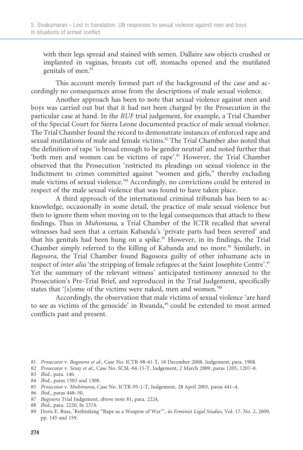with their legs spread and stained with semen. Dallaire saw objects crushed or implanted in vaginas, breasts cut off, stomachs opened and the mutilated genitals of men.<sup>81</sup>

This account merely formed part of the background of the case and accordingly no consequences arose from the descriptions of male sexual violence.

Another approach has been to note that sexual violence against men and boys was carried out but that it had not been charged by the Prosecution in the particular case at hand. In the RUF trial judgement, for example, a Trial Chamber of the Special Court for Sierra Leone documented practice of male sexual violence. The Trial Chamber found the record to demonstrate instances of enforced rape and sexual mutilations of male and female victims.<sup>82</sup> The Trial Chamber also noted that the definition of rape 'is broad enough to be gender neutral' and noted further that 'both men and women can be victims of rape'.83 However, the Trial Chamber observed that the Prosecution 'restricted its pleadings on sexual violence in the Indictment to crimes committed against "women and girls," thereby excluding male victims of sexual violence.<sup>34</sup> Accordingly, no convictions could be entered in respect of the male sexual violence that was found to have taken place.

A third approach of the international criminal tribunals has been to acknowledge, occasionally in some detail, the practice of male sexual violence but then to ignore them when moving on to the legal consequences that attach to these findings. Thus in Muhimana, a Trial Chamber of the ICTR recalled that several witnesses had seen that a certain Kabanda's 'private parts had been severed' and that his genitals had been hung on a spike.<sup>85</sup> However, in its findings, the Trial Chamber simply referred to the killing of Kabanda and no more.<sup>86</sup> Similarly, in Bagosora, the Trial Chamber found Bagosora guilty of other inhumane acts in respect of *inter alia* 'the stripping of female refugees at the Saint Josephite Centre'.<sup>87</sup> Yet the summary of the relevant witness' anticipated testimony annexed to the Prosecution's Pre-Trial Brief, and reproduced in the Trial Judgement, specifically states that '[s]ome of the victims were naked, men and women.'88

Accordingly, the observation that male victims of sexual violence 'are hard to see as victims of the genocide' in Rwanda,<sup>89</sup> could be extended to most armed conflicts past and present.

- 84 Ibid., paras 1303 and 1308.
- 85 Prosecutor v. Muhimana, Case No. ICTR-95-1-T, Judgement, 28 April 2005, paras 441–4.
- 86 Ibid., paras 448–50.
- 87 Bagosora Trial Judgement, above note 81, para. 2224.
- 88 Ibid., para. 2220, fn 2374.

<sup>81</sup> Prosecutor v. Bagosora et al., Case No. ICTR-98-41-T, 18 December 2008, Judgement, para. 1908.

<sup>82</sup> Prosecutor v. Sesay et al., Case No. SCSL-04-15-T, Judgement, 2 March 2009, paras 1205, 1207-8.

<sup>83</sup> Ibid., para. 146.

<sup>89</sup> Doris E. Buss, 'Rethinking "Rape as a Weapon of War"', in Feminist Legal Studies, Vol. 17, No. 2, 2009, pp. 145 and 159.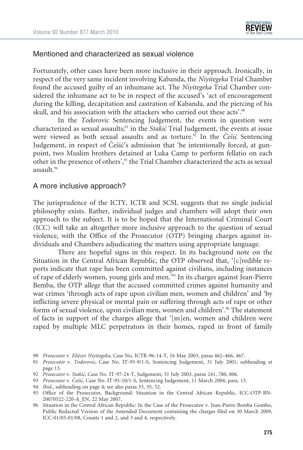

#### Mentioned and characterized as sexual violence

Fortunately, other cases have been more inclusive in their approach. Ironically, in respect of the very same incident involving Kabanda, the Niyitegeka Trial Chamber found the accused guilty of an inhumane act. The Niyitegeka Trial Chamber considered the inhumane act to be in respect of the accused's 'act of encouragement during the killing, decapitation and castration of Kabanda, and the piercing of his skull, and his association with the attackers who carried out these acts'.<sup>90</sup>

In the Todorovic Sentencing Judgement, the events in question were characterized as sexual assaults;<sup>91</sup> in the *Stakić* Trial Judgement, the events at issue were viewed as both sexual assaults and as torture.<sup>92</sup> In the Cesic<sup>c</sup> Sentencing Judgement, in respect of Češić's admission that 'he intentionally forced, at gunpoint, two Muslim brothers detained at Luka Camp to perform fellatio on each other in the presence of others',<sup>93</sup> the Trial Chamber characterized the acts as sexual assault.94

#### A more inclusive approach?

The jurisprudence of the ICTY, ICTR and SCSL suggests that no single judicial philosophy exists. Rather, individual judges and chambers will adopt their own approach to the subject. It is to be hoped that the International Criminal Court (ICC) will take an altogether more inclusive approach to the question of sexual violence, with the Office of the Prosecutor (OTP) bringing charges against individuals and Chambers adjudicating the matters using appropriate language.

There are hopeful signs in this respect. In its background note on the Situation in the Central African Republic, the OTP observed that, '[c]redible reports indicate that rape has been committed against civilians, including instances of rape of elderly women, young girls and men.'95 In its charges against Jean-Pierre Bemba, the OTP allege that the accused committed crimes against humanity and war crimes 'through acts of rape upon civilian men, women and children' and 'by inflicting severe physical or mental pain or suffering through acts of rape or other forms of sexual violence, upon civilian men, women and children'.<sup>96</sup> The statement of facts in support of the charges allege that '[m]en, women and children were raped by multiple MLC perpetrators in their homes, raped in front of family

<sup>90</sup> Prosecutor v. Eliézer Niyitegeka, Case No. ICTR-96-14-T, 16 May 2003, paras 462-466, 467.

<sup>91</sup> Prosecutor v. Todorovic, Case No. IT-95-9/1-S, Sentencing Judgement, 31 July 2001, subheading at page 13.

<sup>92</sup> Prosecutor v. Stakić, Case No. IT-97-24-T, Judgement, 31 July 2003, paras 241, 780, 806.

<sup>93</sup> Prosecutor v. Češić, Case No. IT-95-10/1-S, Sentencing Judgement, 11 March 2004, para. 13.

<sup>94</sup> Ibid., subheading on page 4; see also paras 33, 35, 52.

<sup>95</sup> Office of the Prosecutor, Background: Situation in the Central African Republic, ICC-OTP-BN-20070522-220-A\_EN, 22 May 2007.

<sup>96</sup> Situation in the Central African Republic: In the Case of the Prosecutor v. Jean-Pierre Bemba Gombo, Public Redacted Version of the Amended Document containing the charges filed on 30 March 2009, ICC-01/05-01/08, Counts 1 and 2, and 3 and 4, respectively.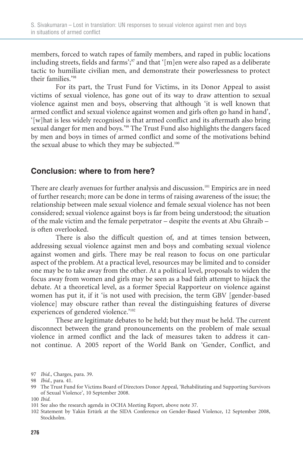members, forced to watch rapes of family members, and raped in public locations including streets, fields and farms';<sup>97</sup> and that '[m]en were also raped as a deliberate tactic to humiliate civilian men, and demonstrate their powerlessness to protect their families.'98

For its part, the Trust Fund for Victims, in its Donor Appeal to assist victims of sexual violence, has gone out of its way to draw attention to sexual violence against men and boys, observing that although 'it is well known that armed conflict and sexual violence against women and girls often go hand in hand', '[w]hat is less widely recognised is that armed conflict and its aftermath also bring sexual danger for men and boys.'<sup>99</sup> The Trust Fund also highlights the dangers faced by men and boys in times of armed conflict and some of the motivations behind the sexual abuse to which they may be subjected.<sup>100</sup>

## Conclusion: where to from here?

There are clearly avenues for further analysis and discussion.<sup>101</sup> Empirics are in need of further research; more can be done in terms of raising awareness of the issue; the relationship between male sexual violence and female sexual violence has not been considered; sexual violence against boys is far from being understood; the situation of the male victim and the female perpetrator – despite the events at Abu Ghraib – is often overlooked.

There is also the difficult question of, and at times tension between, addressing sexual violence against men and boys and combating sexual violence against women and girls. There may be real reason to focus on one particular aspect of the problem. At a practical level, resources may be limited and to consider one may be to take away from the other. At a political level, proposals to widen the focus away from women and girls may be seen as a bad faith attempt to hijack the debate. At a theoretical level, as a former Special Rapporteur on violence against women has put it, if it 'is not used with precision, the term GBV [gender-based violence] may obscure rather than reveal the distinguishing features of diverse experiences of gendered violence.'<sup>102</sup>

These are legitimate debates to be held; but they must be held. The current disconnect between the grand pronouncements on the problem of male sexual violence in armed conflict and the lack of measures taken to address it cannot continue. A 2005 report of the World Bank on 'Gender, Conflict, and

<sup>97</sup> Ibid., Charges, para. 39.

<sup>98</sup> Ibid., para. 41.

<sup>99</sup> The Trust Fund for Victims Board of Directors Donor Appeal, 'Rehabilitating and Supporting Survivors of Sexual Violence', 10 September 2008.

<sup>100</sup> Ibid.

<sup>101</sup> See also the research agenda in OCHA Meeting Report, above note 37.

<sup>102</sup> Statement by Yakin Ertürk at the SIDA Conference on Gender-Based Violence, 12 September 2008, Stockholm.